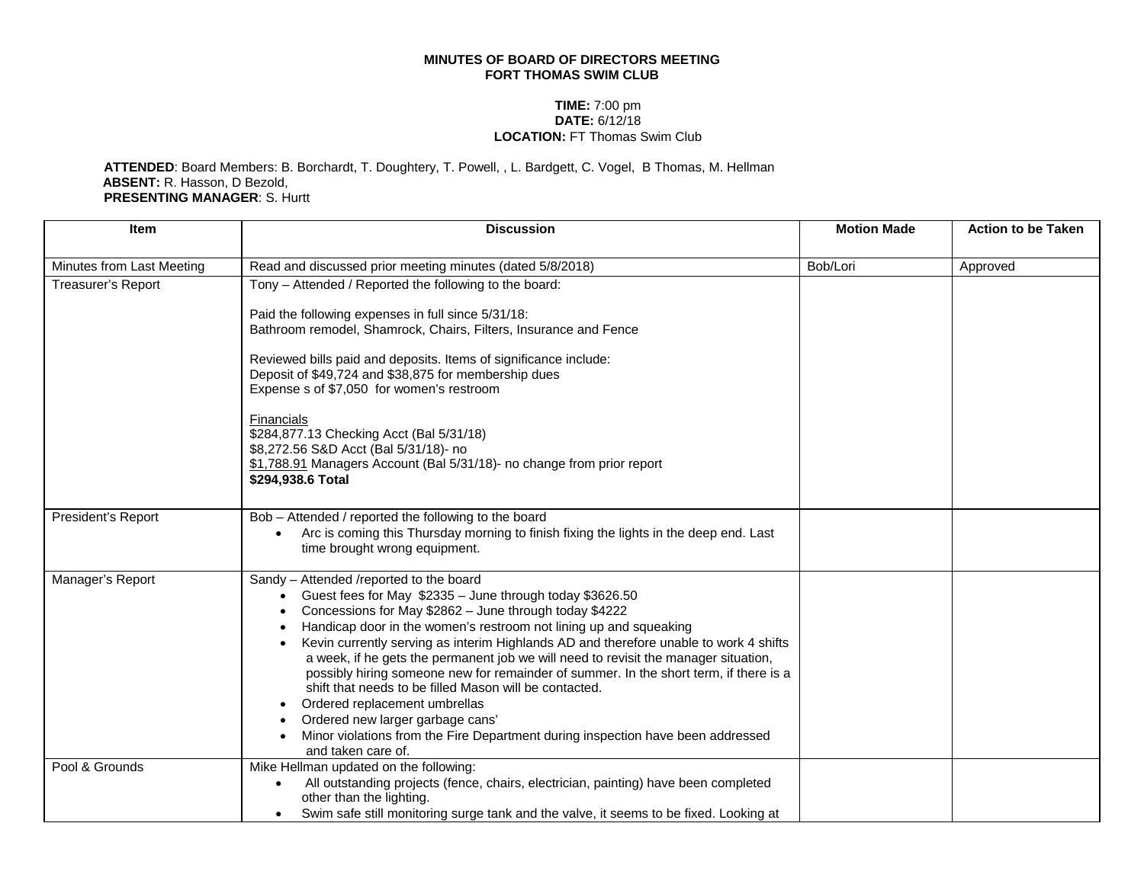## **MINUTES OF BOARD OF DIRECTORS MEETING FORT THOMAS SWIM CLUB**

## **TIME:** 7:00 pm **DATE:** 6/12/18 **LOCATION:** FT Thomas Swim Club

**ATTENDED**: Board Members: B. Borchardt, T. Doughtery, T. Powell, , L. Bardgett, C. Vogel, B Thomas, M. Hellman **ABSENT:** R. Hasson, D Bezold, **PRESENTING MANAGER**: S. Hurtt

| <b>Item</b>               | <b>Discussion</b>                                                                                                                                                                                                                                                                                                                                                                                                                                                                                                                                                                                                                                                                                                                                                | <b>Motion Made</b> | <b>Action to be Taken</b> |
|---------------------------|------------------------------------------------------------------------------------------------------------------------------------------------------------------------------------------------------------------------------------------------------------------------------------------------------------------------------------------------------------------------------------------------------------------------------------------------------------------------------------------------------------------------------------------------------------------------------------------------------------------------------------------------------------------------------------------------------------------------------------------------------------------|--------------------|---------------------------|
| Minutes from Last Meeting | Read and discussed prior meeting minutes (dated 5/8/2018)                                                                                                                                                                                                                                                                                                                                                                                                                                                                                                                                                                                                                                                                                                        | Bob/Lori           | Approved                  |
| <b>Treasurer's Report</b> | Tony – Attended / Reported the following to the board:                                                                                                                                                                                                                                                                                                                                                                                                                                                                                                                                                                                                                                                                                                           |                    |                           |
|                           | Paid the following expenses in full since 5/31/18:<br>Bathroom remodel, Shamrock, Chairs, Filters, Insurance and Fence                                                                                                                                                                                                                                                                                                                                                                                                                                                                                                                                                                                                                                           |                    |                           |
|                           | Reviewed bills paid and deposits. Items of significance include:<br>Deposit of \$49,724 and \$38,875 for membership dues<br>Expense s of \$7,050 for women's restroom                                                                                                                                                                                                                                                                                                                                                                                                                                                                                                                                                                                            |                    |                           |
|                           | <b>Financials</b><br>\$284,877.13 Checking Acct (Bal 5/31/18)<br>\$8,272.56 S&D Acct (Bal 5/31/18)- no<br>\$1,788.91 Managers Account (Bal 5/31/18)- no change from prior report<br>\$294,938.6 Total                                                                                                                                                                                                                                                                                                                                                                                                                                                                                                                                                            |                    |                           |
| President's Report        | Bob - Attended / reported the following to the board<br>Arc is coming this Thursday morning to finish fixing the lights in the deep end. Last<br>time brought wrong equipment.                                                                                                                                                                                                                                                                                                                                                                                                                                                                                                                                                                                   |                    |                           |
| Manager's Report          | Sandy - Attended /reported to the board<br>Guest fees for May \$2335 - June through today \$3626.50<br>$\bullet$<br>Concessions for May \$2862 - June through today \$4222<br>Handicap door in the women's restroom not lining up and squeaking<br>Kevin currently serving as interim Highlands AD and therefore unable to work 4 shifts<br>a week, if he gets the permanent job we will need to revisit the manager situation,<br>possibly hiring someone new for remainder of summer. In the short term, if there is a<br>shift that needs to be filled Mason will be contacted.<br>Ordered replacement umbrellas<br>Ordered new larger garbage cans'<br>Minor violations from the Fire Department during inspection have been addressed<br>and taken care of. |                    |                           |
| Pool & Grounds            | Mike Hellman updated on the following:<br>All outstanding projects (fence, chairs, electrician, painting) have been completed<br>$\bullet$<br>other than the lighting.<br>Swim safe still monitoring surge tank and the valve, it seems to be fixed. Looking at                                                                                                                                                                                                                                                                                                                                                                                                                                                                                                  |                    |                           |